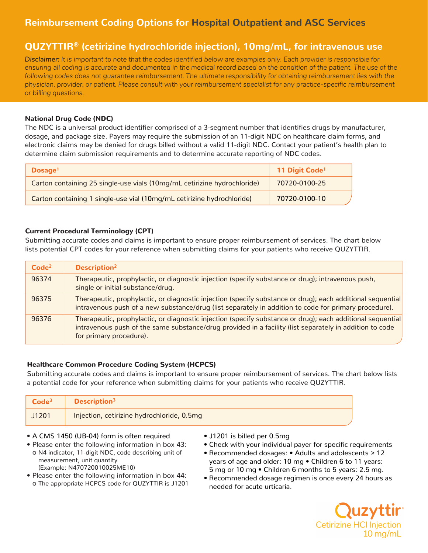# **Reimbursement Coding Options for Hospital Outpatient and ASC Services**

# **QUZYTTIR® (cetirizine hydrochloride injection), 10mg/mL, for intravenous use**

*Disclaimer: It is important to note that the codes identified below are examples only. Each provider is responsible for ensuring all coding is accurate and documented in the medical record based on the condition of the patient. The use of the following codes does not guarantee reimbursement. The ultimate responsibility for obtaining reimbursement lies with the physician, provider, or patient. Please consult with your reimbursement specialist for any practice-specific reimbursement or billing questions.*

# National Drug Code (NDC)

The NDC is a universal product identifier comprised of a 3-segment number that identifies drugs by manufacturer, dosage, and package size. Payers may require the submission of an 11-digit NDC on healthcare claim forms, and electronic claims may be denied for drugs billed without a valid 11-digit NDC. Contact your patient's health plan to determine claim submission requirements and to determine accurate reporting of NDC codes.

| Dosage <sup>1</sup>                                                      | 11 Digit Code <sup>1</sup> |
|--------------------------------------------------------------------------|----------------------------|
| Carton containing 25 single-use vials (10mg/mL cetirizine hydrochloride) | 70720-0100-25              |
| Carton containing 1 single-use vial (10mg/mL cetirizine hydrochloride)   | 70720-0100-10              |

## Current Procedural Terminology (CPT)

Submitting accurate codes and claims is important to ensure proper reimbursement of services. The chart below lists potential CPT codes for your reference when submitting claims for your patients who receive QUZYTTIR.

| Code <sup>2</sup> | <b>Description<sup>2</sup></b>                                                                                                                                                                                                                   |
|-------------------|--------------------------------------------------------------------------------------------------------------------------------------------------------------------------------------------------------------------------------------------------|
| 96374             | Therapeutic, prophylactic, or diagnostic injection (specify substance or drug); intravenous push,<br>single or initial substance/drug.                                                                                                           |
| 96375             | Therapeutic, prophylactic, or diagnostic injection (specify substance or drug); each additional sequential<br>intravenous push of a new substance/drug (list separately in addition to code for primary procedure).                              |
| 96376             | Therapeutic, prophylactic, or diagnostic injection (specify substance or drug); each additional sequential<br>intravenous push of the same substance/drug provided in a facility (list separately in addition to code<br>for primary procedure). |

# Healthcare Common Procedure Coding System (HCPCS)

Submitting accurate codes and claims is important to ensure proper reimbursement of services. The chart below lists a potential code for your reference when submitting claims for your patients who receive QUZYTTIR .

| Code <sup>3</sup> | <b>Description</b> <sup>3</sup>            |
|-------------------|--------------------------------------------|
| J1201             | Injection, cetirizine hydrochloride, 0.5mg |

- A CMS 1450 (UB-04) form is often required
- Please enter the following information in box 43: o N4 indicator, 11-digit NDC, code describing unit of measurement, unit quantity (Example: N470720010025ME10)
- Please enter the following information in box 44: o The appropriate HCPCS code for QUZYTTIR is J1201
- J1201 is billed per 0.5mg
- Check with your individual payer for specific requirements
- Recommended dosages: Adults and adolescents ≥ 12 years of age and older: 10 mg • Children 6 to 11 years: 5 mg or 10 mg • Children 6 months to 5 years: 2.5 mg.
- Recommended dosage regimen is once every 24 hours as needed for acute urticaria.